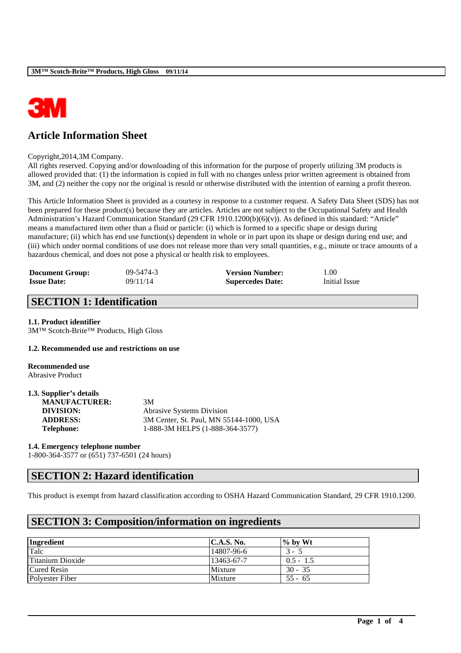

# **Article Information Sheet**

#### Copyright,2014,3M Company.

All rights reserved. Copying and/or downloading of this information for the purpose of properly utilizing 3M products is allowed provided that: (1) the information is copied in full with no changes unless prior written agreement is obtained from 3M, and (2) neither the copy nor the original is resold or otherwise distributed with the intention of earning a profit thereon.

This Article Information Sheet is provided as a courtesy in response to a customer request. A Safety Data Sheet (SDS) has not been prepared for these product(s) because they are articles. Articles are not subject to the Occupational Safety and Health Administration's Hazard Communication Standard (29 CFR 1910.1200(b)(6)(v)). As defined in this standard: "Article" means a manufactured item other than a fluid or particle: (i) which is formed to a specific shape or design during manufacture; (ii) which has end use function(s) dependent in whole or in part upon its shape or design during end use; and (iii) which under normal conditions of use does not release more than very small quantities, e.g., minute or trace amounts of a hazardous chemical, and does not pose a physical or health risk to employees.

| <b>Document Group:</b> | $09 - 5474 - 3$ | <b>Version Number:</b>  | 00.1          |
|------------------------|-----------------|-------------------------|---------------|
| <b>Issue Date:</b>     | 09/11/14        | <b>Supercedes Date:</b> | Initial Issue |

## **SECTION 1: Identification**

### **1.1. Product identifier**

3M™ Scotch-Brite™ Products, High Gloss

#### **1.2. Recommended use and restrictions on use**

**Recommended use** Abrasive Product

| 1.3. Supplier's details |                                         |
|-------------------------|-----------------------------------------|
| <b>MANUFACTURER:</b>    | 3M                                      |
| <b>DIVISION:</b>        | Abrasive Systems Division               |
| <b>ADDRESS:</b>         | 3M Center, St. Paul, MN 55144-1000, USA |
| <b>Telephone:</b>       | 1-888-3M HELPS (1-888-364-3577)         |

#### **1.4. Emergency telephone number**

1-800-364-3577 or (651) 737-6501 (24 hours)

## **SECTION 2: Hazard identification**

This product is exempt from hazard classification according to OSHA Hazard Communication Standard, 29 CFR 1910.1200.

\_\_\_\_\_\_\_\_\_\_\_\_\_\_\_\_\_\_\_\_\_\_\_\_\_\_\_\_\_\_\_\_\_\_\_\_\_\_\_\_\_\_\_\_\_\_\_\_\_\_\_\_\_\_\_\_\_\_\_\_\_\_\_\_\_\_\_\_\_\_\_\_\_\_\_\_\_\_\_\_\_\_\_\_\_\_\_\_\_\_

## **SECTION 3: Composition/information on ingredients**

| Ingredient         | <b>C.A.S. No.</b> | $\%$ by Wt  |
|--------------------|-------------------|-------------|
| Talc               | 14807-96-6        | $3 -$       |
| Titanium Dioxide   | 13463-67-7        | $0.5 - 1.5$ |
| <b>Cured Resin</b> | Mixture           | $30 - 35$   |
| Polyester Fiber    | Mixture           | $55 - 65$   |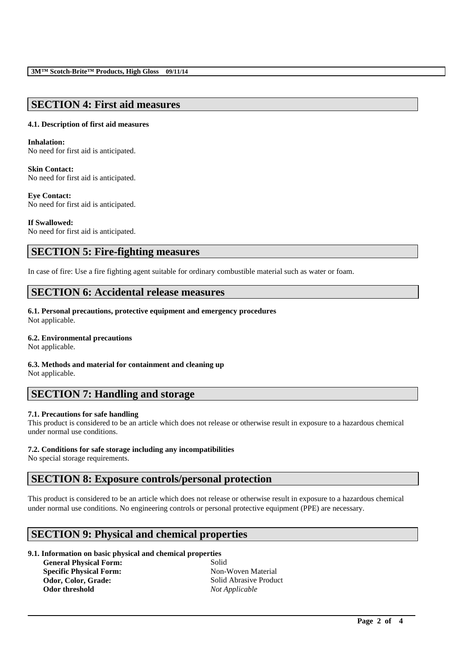## **SECTION 4: First aid measures**

### **4.1. Description of first aid measures**

#### **Inhalation:**

No need for first aid is anticipated.

### **Skin Contact:**

No need for first aid is anticipated.

### **Eye Contact:**

No need for first aid is anticipated.

### **If Swallowed:**

No need for first aid is anticipated.

## **SECTION 5: Fire-fighting measures**

In case of fire: Use a fire fighting agent suitable for ordinary combustible material such as water or foam.

## **SECTION 6: Accidental release measures**

### **6.1. Personal precautions, protective equipment and emergency procedures**

Not applicable.

### **6.2. Environmental precautions**

Not applicable.

### **6.3. Methods and material for containment and cleaning up**

Not applicable.

## **SECTION 7: Handling and storage**

### **7.1. Precautions for safe handling**

This product is considered to be an article which does not release or otherwise result in exposure to a hazardous chemical under normal use conditions.

### **7.2. Conditions for safe storage including any incompatibilities**

No special storage requirements.

## **SECTION 8: Exposure controls/personal protection**

This product is considered to be an article which does not release or otherwise result in exposure to a hazardous chemical under normal use conditions. No engineering controls or personal protective equipment (PPE) are necessary.

\_\_\_\_\_\_\_\_\_\_\_\_\_\_\_\_\_\_\_\_\_\_\_\_\_\_\_\_\_\_\_\_\_\_\_\_\_\_\_\_\_\_\_\_\_\_\_\_\_\_\_\_\_\_\_\_\_\_\_\_\_\_\_\_\_\_\_\_\_\_\_\_\_\_\_\_\_\_\_\_\_\_\_\_\_\_\_\_\_\_

## **SECTION 9: Physical and chemical properties**

### **9.1. Information on basic physical and chemical properties**

**General Physical Form:** Solid **Specific Physical Form:** Non-Woven Material Odor, Color, Grade: **Solid Abrasive Product** Solid Abrasive Product **Odor threshold** *Not Applicable*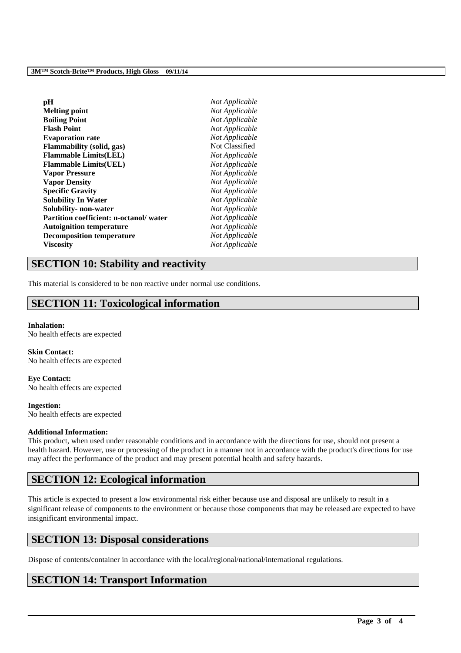| pН                                      | Not Applicable |
|-----------------------------------------|----------------|
| <b>Melting point</b>                    | Not Applicable |
| <b>Boiling Point</b>                    | Not Applicable |
| <b>Flash Point</b>                      | Not Applicable |
| <b>Evaporation rate</b>                 | Not Applicable |
| Flammability (solid, gas)               | Not Classified |
| <b>Flammable Limits(LEL)</b>            | Not Applicable |
| <b>Flammable Limits(UEL)</b>            | Not Applicable |
| <b>Vapor Pressure</b>                   | Not Applicable |
| <b>Vapor Density</b>                    | Not Applicable |
| <b>Specific Gravity</b>                 | Not Applicable |
| <b>Solubility In Water</b>              | Not Applicable |
| Solubility- non-water                   | Not Applicable |
| Partition coefficient: n-octanol/ water | Not Applicable |
| <b>Autoignition temperature</b>         | Not Applicable |
| <b>Decomposition temperature</b>        | Not Applicable |
| <b>Viscosity</b>                        | Not Applicable |
|                                         |                |

## **SECTION 10: Stability and reactivity**

This material is considered to be non reactive under normal use conditions.

## **SECTION 11: Toxicological information**

#### **Inhalation:** No health effects are expected

**Skin Contact:** No health effects are expected

**Eye Contact:** No health effects are expected

**Ingestion:** No health effects are expected

### **Additional Information:**

This product, when used under reasonable conditions and in accordance with the directions for use, should not present a health hazard. However, use or processing of the product in a manner not in accordance with the product's directions for use may affect the performance of the product and may present potential health and safety hazards.

## **SECTION 12: Ecological information**

This article is expected to present a low environmental risk either because use and disposal are unlikely to result in a significant release of components to the environment or because those components that may be released are expected to have insignificant environmental impact.

\_\_\_\_\_\_\_\_\_\_\_\_\_\_\_\_\_\_\_\_\_\_\_\_\_\_\_\_\_\_\_\_\_\_\_\_\_\_\_\_\_\_\_\_\_\_\_\_\_\_\_\_\_\_\_\_\_\_\_\_\_\_\_\_\_\_\_\_\_\_\_\_\_\_\_\_\_\_\_\_\_\_\_\_\_\_\_\_\_\_

## **SECTION 13: Disposal considerations**

Dispose of contents/container in accordance with the local/regional/national/international regulations.

# **SECTION 14: Transport Information**